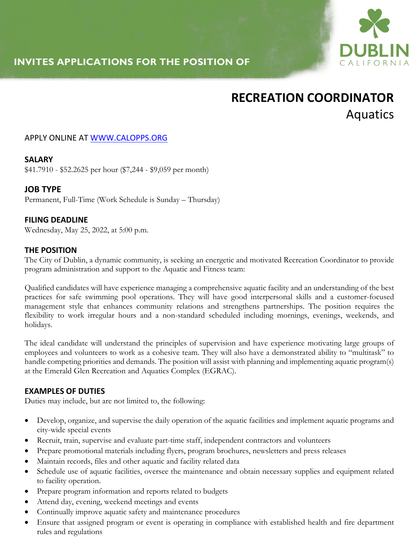

# **INVITES APPLICATIONS FOR THE POSITION OF**

# **RECREATION COORDINATOR**  Aquatics

#### APPLY ONLINE AT WWW.CALOPPS.ORG

#### **SALARY**

\$41.7910 - \$52.2625 per hour (\$7,244 - \$9,059 per month)

# **JOB TYPE**

Permanent, Full-Time (Work Schedule is Sunday – Thursday)

#### **FILING DEADLINE**

Wednesday, May 25, 2022, at 5:00 p.m.

#### **THE POSITION**

The City of Dublin, a dynamic community, is seeking an energetic and motivated Recreation Coordinator to provide program administration and support to the Aquatic and Fitness team:

Qualified candidates will have experience managing a comprehensive aquatic facility and an understanding of the best practices for safe swimming pool operations. They will have good interpersonal skills and a customer-focused management style that enhances community relations and strengthens partnerships. The position requires the flexibility to work irregular hours and a non-standard scheduled including mornings, evenings, weekends, and holidays.

The ideal candidate will understand the principles of supervision and have experience motivating large groups of employees and volunteers to work as a cohesive team. They will also have a demonstrated ability to "multitask" to handle competing priorities and demands. The position will assist with planning and implementing aquatic program(s) at the Emerald Glen Recreation and Aquatics Complex (EGRAC).

#### **EXAMPLES OF DUTIES**

Duties may include, but are not limited to, the following:

- Develop, organize, and supervise the daily operation of the aquatic facilities and implement aquatic programs and city-wide special events
- Recruit, train, supervise and evaluate part-time staff, independent contractors and volunteers
- Prepare promotional materials including flyers, program brochures, newsletters and press releases
- Maintain records, files and other aquatic and facility related data
- Schedule use of aquatic facilities, oversee the maintenance and obtain necessary supplies and equipment related to facility operation.
- Prepare program information and reports related to budgets
- Attend day, evening, weekend meetings and events
- Continually improve aquatic safety and maintenance procedures
- Ensure that assigned program or event is operating in compliance with established health and fire department rules and regulations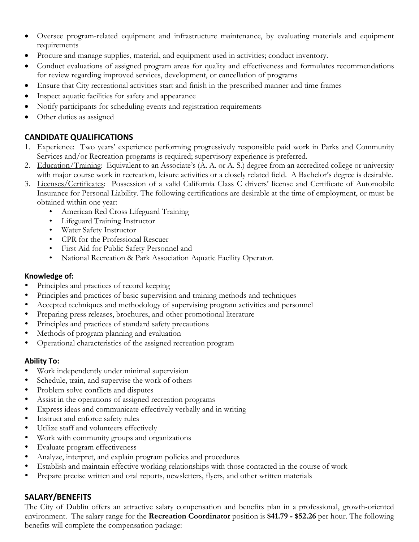- Oversee program-related equipment and infrastructure maintenance, by evaluating materials and equipment requirements
- Procure and manage supplies, material, and equipment used in activities; conduct inventory.
- Conduct evaluations of assigned program areas for quality and effectiveness and formulates recommendations for review regarding improved services, development, or cancellation of programs
- Ensure that City recreational activities start and finish in the prescribed manner and time frames
- Inspect aquatic facilities for safety and appearance
- Notify participants for scheduling events and registration requirements
- Other duties as assigned

# **CANDIDATE QUALIFICATIONS**

- 1. Experience: Two years' experience performing progressively responsible paid work in Parks and Community Services and/or Recreation programs is required; supervisory experience is preferred.
- 2. Education/Training: Equivalent to an Associate's (A. A. or A. S.) degree from an accredited college or university with major course work in recreation, leisure activities or a closely related field. A Bachelor's degree is desirable.
- 3. Licenses/Certificates: Possession of a valid California Class C drivers' license and Certificate of Automobile Insurance for Personal Liability. The following certifications are desirable at the time of employment, or must be obtained within one year:
	- American Red Cross Lifeguard Training
	- Lifeguard Training Instructor
	- Water Safety Instructor
	- CPR for the Professional Rescuer
	- First Aid for Public Safety Personnel and
	- National Recreation & Park Association Aquatic Facility Operator.

#### **Knowledge of:**

- Principles and practices of record keeping
- Principles and practices of basic supervision and training methods and techniques
- Accepted techniques and methodology of supervising program activities and personnel
- Preparing press releases, brochures, and other promotional literature
- Principles and practices of standard safety precautions
- Methods of program planning and evaluation
- Operational characteristics of the assigned recreation program

#### **Ability To:**

- Work independently under minimal supervision
- Schedule, train, and supervise the work of others
- Problem solve conflicts and disputes
- Assist in the operations of assigned recreation programs
- Express ideas and communicate effectively verbally and in writing
- Instruct and enforce safety rules
- Utilize staff and volunteers effectively
- Work with community groups and organizations
- Evaluate program effectiveness
- Analyze, interpret, and explain program policies and procedures
- Establish and maintain effective working relationships with those contacted in the course of work
- Prepare precise written and oral reports, newsletters, flyers, and other written materials

#### **SALARY/BENEFITS**

The City of Dublin offers an attractive salary compensation and benefits plan in a professional, growth-oriented environment. The salary range for the **Recreation Coordinator** position is **\$41.79 - \$52.26** per hour. The following benefits will complete the compensation package: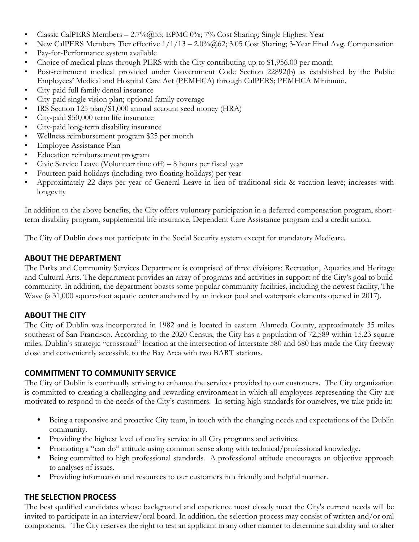- Classic CalPERS Members 2.7%@55; EPMC 0%; 7% Cost Sharing; Single Highest Year
- New CalPERS Members Tier effective 1/1/13 2.0%@62; 3.05 Cost Sharing; 3-Year Final Avg. Compensation
- Pay-for-Performance system available
- Choice of medical plans through PERS with the City contributing up to \$1,956.00 per month
- Post-retirement medical provided under Government Code Section 22892(b) as established by the Public Employees' Medical and Hospital Care Act (PEMHCA) through CalPERS; PEMHCA Minimum.
- City-paid full family dental insurance
- City-paid single vision plan; optional family coverage
- IRS Section 125 plan/\$1,000 annual account seed money (HRA)
- City-paid \$50,000 term life insurance
- City-paid long-term disability insurance
- Wellness reimbursement program \$25 per month
- Employee Assistance Plan
- Education reimbursement program
- Civic Service Leave (Volunteer time off) 8 hours per fiscal year
- Fourteen paid holidays (including two floating holidays) per year
- Approximately 22 days per year of General Leave in lieu of traditional sick & vacation leave; increases with longevity

In addition to the above benefits, the City offers voluntary participation in a deferred compensation program, shortterm disability program, supplemental life insurance, Dependent Care Assistance program and a credit union.

The City of Dublin does not participate in the Social Security system except for mandatory Medicare.

# **ABOUT THE DEPARTMENT**

The Parks and Community Services Department is comprised of three divisions: Recreation, Aquatics and Heritage and Cultural Arts. The department provides an array of programs and activities in support of the City's goal to build community. In addition, the department boasts some popular community facilities, including the newest facility, The Wave (a 31,000 square-foot aquatic center anchored by an indoor pool and waterpark elements opened in 2017).

# **ABOUT THE CITY**

The City of Dublin was incorporated in 1982 and is located in eastern Alameda County, approximately 35 miles southeast of San Francisco. According to the 2020 Census, the City has a population of 72,589 within 15.23 square miles. Dublin's strategic "crossroad" location at the intersection of Interstate 580 and 680 has made the City freeway close and conveniently accessible to the Bay Area with two BART stations.

# **COMMITMENT TO COMMUNITY SERVICE**

The City of Dublin is continually striving to enhance the services provided to our customers. The City organization is committed to creating a challenging and rewarding environment in which all employees representing the City are motivated to respond to the needs of the City's customers. In setting high standards for ourselves, we take pride in:

- Being a responsive and proactive City team, in touch with the changing needs and expectations of the Dublin community.
- Providing the highest level of quality service in all City programs and activities.
- Promoting a "can do" attitude using common sense along with technical/professional knowledge.
- Being committed to high professional standards. A professional attitude encourages an objective approach to analyses of issues.
- Providing information and resources to our customers in a friendly and helpful manner.

# **THE SELECTION PROCESS**

The best qualified candidates whose background and experience most closely meet the City's current needs will be invited to participate in an interview/oral board. In addition, the selection process may consist of written and/or oral components. The City reserves the right to test an applicant in any other manner to determine suitability and to alter